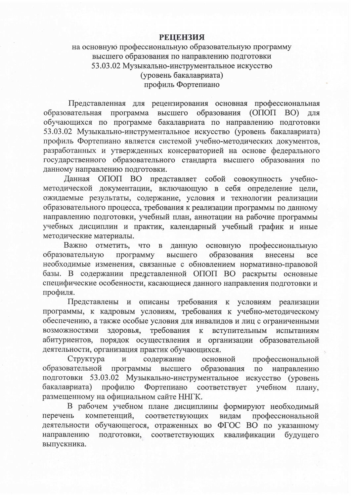## **РЕШЕНЗИЯ**

## на основную профессиональную образовательную программу высшего образования по направлению подготовки 53.03.02 Музыкально-инструментальное искусство (уровень бакалавриата) профиль Фортепиано

Представленная для рецензирования основная профессиональная образовательная программа высшего образования (ОПОП ВО) ДЛЯ обучающихся по программе бакалавриата по направлению подготовки 53.03.02 Музыкально-инструментальное искусство (уровень бакалавриата) профиль Фортепиано является системой учебно-методических документов, разработанных и утвержденных консерваторией на основе федерального государственного образовательного стандарта высшего образования по данному направлению подготовки.

Данная ОПОП ВО представляет собой совокупность учебнометодической документации, включающую в себя определение цели, ожидаемые результаты, содержание, условия и технологии реализации образовательного процесса, требования к реализации программы по данному направлению подготовки, учебный план, аннотации на рабочие программы учебных дисциплин и практик, календарный учебный график и иные методические материалы.

Важно отметить, **что** данную основную профессиональную  $\, {\bf B}$ образовательную программу образования высшего внесены **BCC** необходимые изменения, связанные с обновлением нормативно-правовой базы. В содержании представленной ОПОП ВО раскрыты основные специфические особенности, касающиеся данного направления подготовки и профиля.

Представлены и описаны требования к условиям реализации программы, к кадровым условиям, требования к учебно-методическому обеспечению, а также особые условия для инвалидов и лиц с ограниченными требования возможностями здоровья, вступительным  $\mathbf K$ испытаниям абитуриентов, порядок осуществления и организации образовательной деятельности, организация практик обучающихся.

Структура содержание основной профессиональной  $\overline{\mathbf{M}}$ образовательной программы высшего образования направлению  $\overline{10}$ подготовки 53.03.02 Музыкально-инструментальное искусство (уровень бакалавриата) профилю Фортепиано соответствует учебном плану, размещенному на официальном сайте ННГК.

В рабочем учебном плане дисциплины формируют необходимый перечень компетенций, соответствующих видам профессиональной деятельности обучающегося, отраженных во ФГОС ВО по указанному подготовки, соответствующих направлению квалификации будущего выпускника.